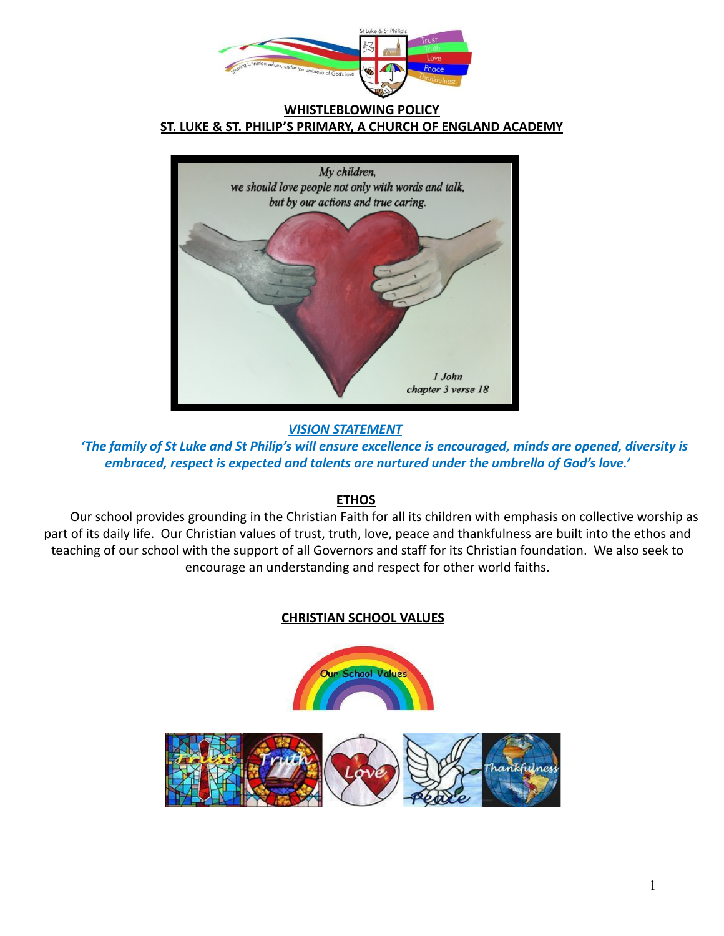

**WHISTLEBLOWING POLICY ST. LUKE & ST. PHILIP'S PRIMARY, A CHURCH OF ENGLAND ACADEMY**



*VISION STATEMENT*

*'The family of St Luke and St Philip's will ensure excellence is encouraged, minds are opened, diversity is embraced, respect is expected and talents are nurtured under the umbrella of God's love.'*

# **ETHOS**

Our school provides grounding in the Christian Faith for all its children with emphasis on collective worship as part of its daily life. Our Christian values of trust, truth, love, peace and thankfulness are built into the ethos and teaching of our school with the support of all Governors and staff for its Christian foundation. We also seek to encourage an understanding and respect for other world faiths.

# **CHRISTIAN SCHOOL VALUES**

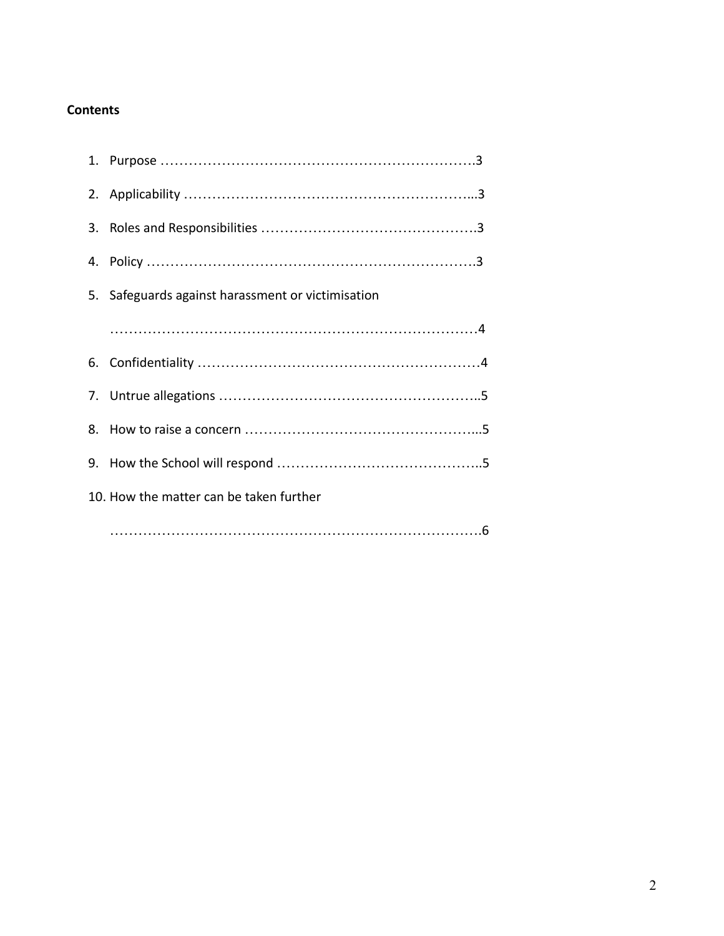## **Contents**

| 5. Safeguards against harassment or victimisation |
|---------------------------------------------------|
|                                                   |
|                                                   |
|                                                   |
|                                                   |
|                                                   |
| 10. How the matter can be taken further           |
|                                                   |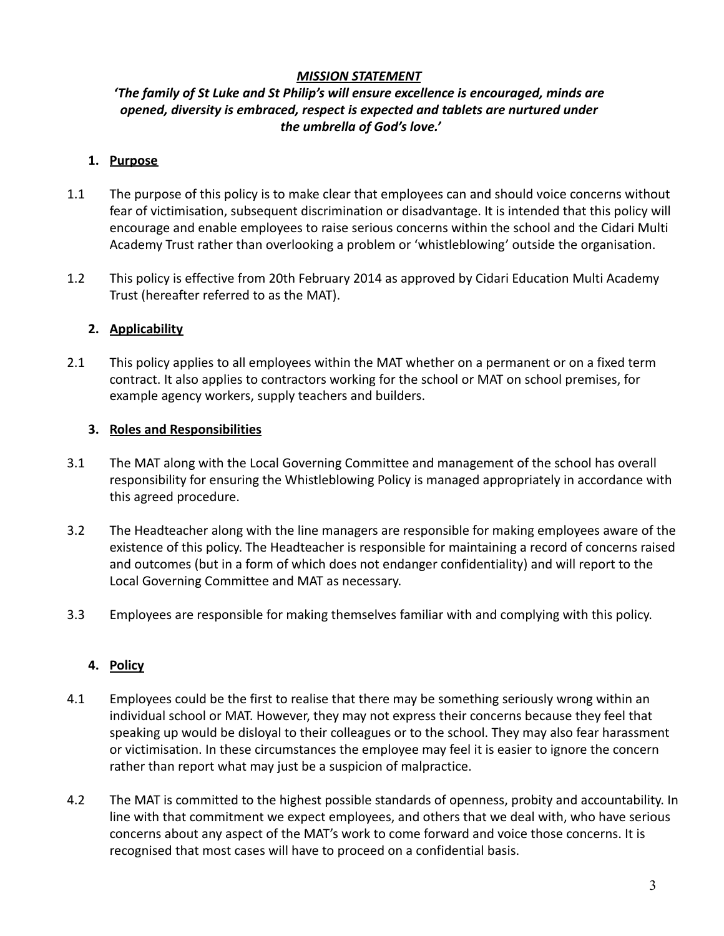#### *MISSION STATEMENT*

### *'The family of St Luke and St Philip's will ensure excellence is encouraged, minds are opened, diversity is embraced, respect is expected and tablets are nurtured under the umbrella of God's love.'*

#### **1. Purpose**

- 1.1 The purpose of this policy is to make clear that employees can and should voice concerns without fear of victimisation, subsequent discrimination or disadvantage. It is intended that this policy will encourage and enable employees to raise serious concerns within the school and the Cidari Multi Academy Trust rather than overlooking a problem or 'whistleblowing' outside the organisation.
- 1.2 This policy is effective from 20th February 2014 as approved by Cidari Education Multi Academy Trust (hereafter referred to as the MAT).

#### **2. Applicability**

2.1 This policy applies to all employees within the MAT whether on a permanent or on a fixed term contract. It also applies to contractors working for the school or MAT on school premises, for example agency workers, supply teachers and builders.

#### **3. Roles and Responsibilities**

- 3.1 The MAT along with the Local Governing Committee and management of the school has overall responsibility for ensuring the Whistleblowing Policy is managed appropriately in accordance with this agreed procedure.
- 3.2 The Headteacher along with the line managers are responsible for making employees aware of the existence of this policy. The Headteacher is responsible for maintaining a record of concerns raised and outcomes (but in a form of which does not endanger confidentiality) and will report to the Local Governing Committee and MAT as necessary.
- 3.3 Employees are responsible for making themselves familiar with and complying with this policy.

### **4. Policy**

- 4.1 Employees could be the first to realise that there may be something seriously wrong within an individual school or MAT. However, they may not express their concerns because they feel that speaking up would be disloyal to their colleagues or to the school. They may also fear harassment or victimisation. In these circumstances the employee may feel it is easier to ignore the concern rather than report what may just be a suspicion of malpractice.
- 4.2 The MAT is committed to the highest possible standards of openness, probity and accountability. In line with that commitment we expect employees, and others that we deal with, who have serious concerns about any aspect of the MAT's work to come forward and voice those concerns. It is recognised that most cases will have to proceed on a confidential basis.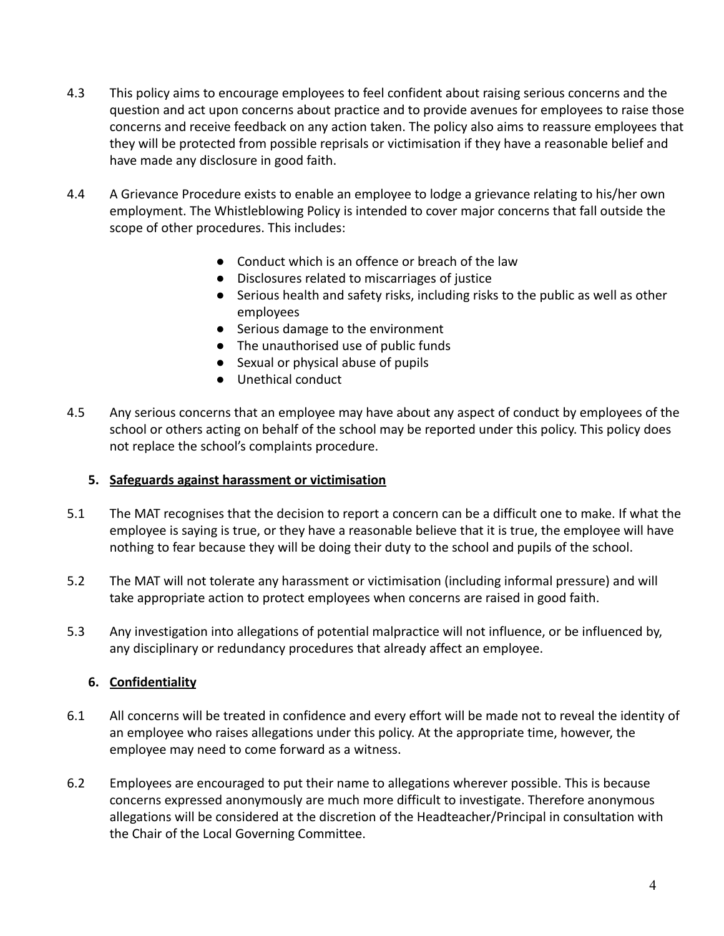- 4.3 This policy aims to encourage employees to feel confident about raising serious concerns and the question and act upon concerns about practice and to provide avenues for employees to raise those concerns and receive feedback on any action taken. The policy also aims to reassure employees that they will be protected from possible reprisals or victimisation if they have a reasonable belief and have made any disclosure in good faith.
- 4.4 A Grievance Procedure exists to enable an employee to lodge a grievance relating to his/her own employment. The Whistleblowing Policy is intended to cover major concerns that fall outside the scope of other procedures. This includes:
	- Conduct which is an offence or breach of the law
	- Disclosures related to miscarriages of justice
	- Serious health and safety risks, including risks to the public as well as other employees
	- Serious damage to the environment
	- The unauthorised use of public funds
	- Sexual or physical abuse of pupils
	- Unethical conduct
- 4.5 Any serious concerns that an employee may have about any aspect of conduct by employees of the school or others acting on behalf of the school may be reported under this policy. This policy does not replace the school's complaints procedure.

### **5. Safeguards against harassment or victimisation**

- 5.1 The MAT recognises that the decision to report a concern can be a difficult one to make. If what the employee is saying is true, or they have a reasonable believe that it is true, the employee will have nothing to fear because they will be doing their duty to the school and pupils of the school.
- 5.2 The MAT will not tolerate any harassment or victimisation (including informal pressure) and will take appropriate action to protect employees when concerns are raised in good faith.
- 5.3 Any investigation into allegations of potential malpractice will not influence, or be influenced by, any disciplinary or redundancy procedures that already affect an employee.

# **6. Confidentiality**

- 6.1 All concerns will be treated in confidence and every effort will be made not to reveal the identity of an employee who raises allegations under this policy. At the appropriate time, however, the employee may need to come forward as a witness.
- 6.2 Employees are encouraged to put their name to allegations wherever possible. This is because concerns expressed anonymously are much more difficult to investigate. Therefore anonymous allegations will be considered at the discretion of the Headteacher/Principal in consultation with the Chair of the Local Governing Committee.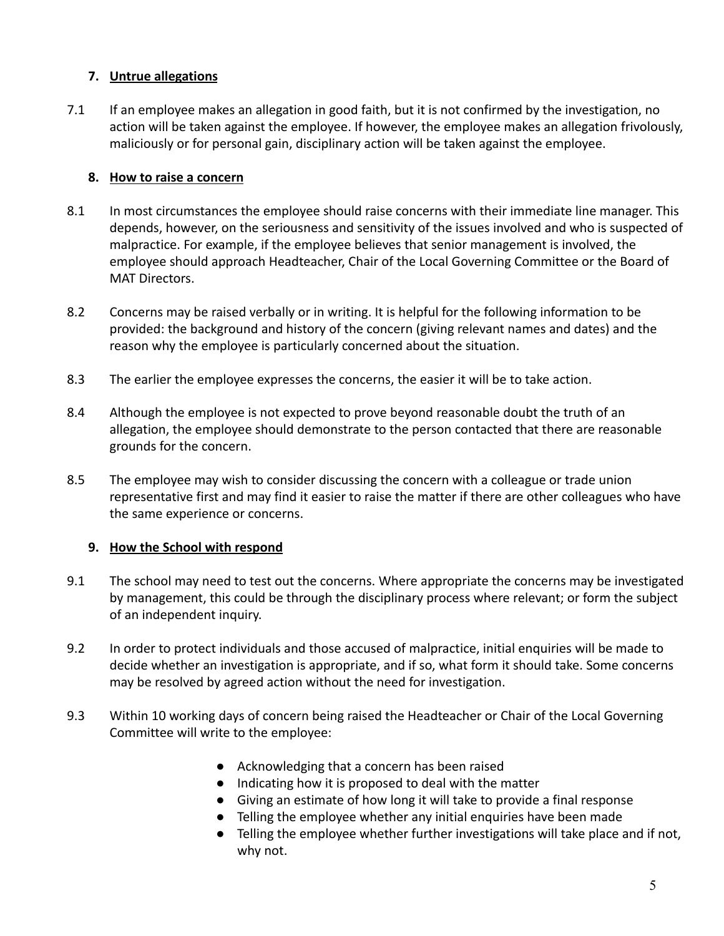## **7. Untrue allegations**

7.1 If an employee makes an allegation in good faith, but it is not confirmed by the investigation, no action will be taken against the employee. If however, the employee makes an allegation frivolously, maliciously or for personal gain, disciplinary action will be taken against the employee.

### **8. How to raise a concern**

- 8.1 In most circumstances the employee should raise concerns with their immediate line manager. This depends, however, on the seriousness and sensitivity of the issues involved and who is suspected of malpractice. For example, if the employee believes that senior management is involved, the employee should approach Headteacher, Chair of the Local Governing Committee or the Board of MAT Directors.
- 8.2 Concerns may be raised verbally or in writing. It is helpful for the following information to be provided: the background and history of the concern (giving relevant names and dates) and the reason why the employee is particularly concerned about the situation.
- 8.3 The earlier the employee expresses the concerns, the easier it will be to take action.
- 8.4 Although the employee is not expected to prove beyond reasonable doubt the truth of an allegation, the employee should demonstrate to the person contacted that there are reasonable grounds for the concern.
- 8.5 The employee may wish to consider discussing the concern with a colleague or trade union representative first and may find it easier to raise the matter if there are other colleagues who have the same experience or concerns.

### **9. How the School with respond**

- 9.1 The school may need to test out the concerns. Where appropriate the concerns may be investigated by management, this could be through the disciplinary process where relevant; or form the subject of an independent inquiry.
- 9.2 In order to protect individuals and those accused of malpractice, initial enquiries will be made to decide whether an investigation is appropriate, and if so, what form it should take. Some concerns may be resolved by agreed action without the need for investigation.
- 9.3 Within 10 working days of concern being raised the Headteacher or Chair of the Local Governing Committee will write to the employee:
	- Acknowledging that a concern has been raised
	- Indicating how it is proposed to deal with the matter
	- Giving an estimate of how long it will take to provide a final response
	- Telling the employee whether any initial enquiries have been made
	- Telling the employee whether further investigations will take place and if not, why not.